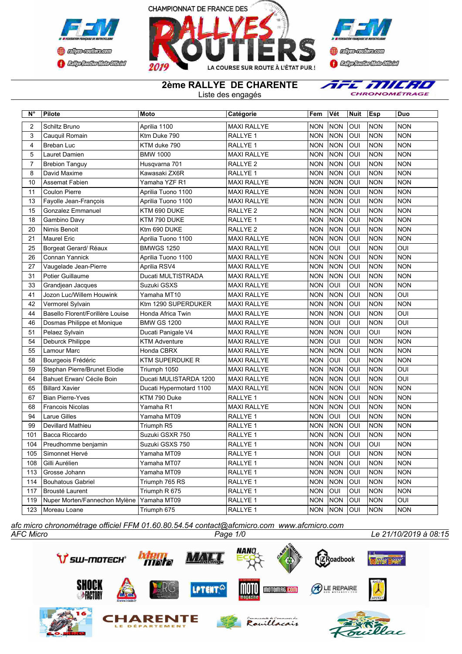





**2ème RALLYE DE CHARENTE**

Liste des engagés

AFE MILRO CHRONOMÉTRAGE

| $N^{\circ}$    | <b>Pilote</b>                    | <b>Moto</b>             | Catégorie           | Fem        | Vét        | <b>Nuit</b> | Esp        | Duo        |
|----------------|----------------------------------|-------------------------|---------------------|------------|------------|-------------|------------|------------|
| $\overline{2}$ | Schiltz Bruno                    | Aprilia 1100            | <b>MAXI RALLYE</b>  | <b>NON</b> | <b>NON</b> | OUI         | <b>NON</b> | <b>NON</b> |
| 3              | Cauquil Romain                   | Ktm Duke 790            | RALLYE 1            | NON        | <b>NON</b> | OUI         | <b>NON</b> | <b>NON</b> |
| 4              | Breban Luc                       | KTM duke 790            | RALLYE 1            | <b>NON</b> | <b>NON</b> | OUI         | <b>NON</b> | <b>NON</b> |
| 5              | Lauret Damien                    | <b>BMW 1000</b>         | <b>MAXI RALLYE</b>  | <b>NON</b> | <b>NON</b> | OUI         | <b>NON</b> | <b>NON</b> |
| $\overline{7}$ | <b>Brebion Tanguy</b>            | Husqvarna 701           | RALLYE 2            | NON        | <b>NON</b> | OUI         | <b>NON</b> | <b>NON</b> |
| 8              | David Maxime                     | Kawasaki ZX6R           | RALLYE 1            | <b>NON</b> | <b>NON</b> | OUI         | <b>NON</b> | <b>NON</b> |
| 10             | Assemat Fabien                   | Yamaha YZF R1           | <b>MAXI RALLYE</b>  | NON        | <b>NON</b> | OUI         | <b>NON</b> | <b>NON</b> |
| 11             | <b>Coulon Pierre</b>             | Aprilia Tuono 1100      | <b>MAXI RALLYE</b>  | <b>NON</b> | <b>NON</b> | OUI         | <b>NON</b> | <b>NON</b> |
| 13             | Fayolle Jean-François            | Aprilia Tuono 1100      | <b>MAXI RALLYE</b>  | NON        | <b>NON</b> | OUI         | <b>NON</b> | <b>NON</b> |
| 15             | Gonzalez Emmanuel                | KTM 690 DUKE            | RALLYE <sub>2</sub> | <b>NON</b> | <b>NON</b> | OUI         | <b>NON</b> | <b>NON</b> |
| 18             | Gambino Davy                     | KTM 790 DUKE            | RALLYE 1            | NON        | <b>NON</b> | OUI         | <b>NON</b> | <b>NON</b> |
| 20             | Nimis Benoit                     | Ktm 690 DUKE            | RALLYE <sub>2</sub> | <b>NON</b> | <b>NON</b> | OUI         | <b>NON</b> | <b>NON</b> |
| 21             | <b>Maurel Eric</b>               | Aprilia Tuono 1100      | <b>MAXI RALLYE</b>  | <b>NON</b> | <b>NON</b> | OUI         | <b>NON</b> | <b>NON</b> |
| 25             | Borgeat Gerard/ Réaux            | <b>BMWGS 1250</b>       | MAXI RALLYE         | NON        | OUI        | OUI         | <b>NON</b> | OUI        |
| 26             | Connan Yannick                   | Aprilia Tuono 1100      | MAXI RALLYE         | NON        | <b>NON</b> | OUI         | <b>NON</b> | NON        |
| 27             | Vaugelade Jean-Pierre            | Aprilia RSV4            | <b>MAXI RALLYE</b>  | NON        | <b>NON</b> | OUI         | <b>NON</b> | NON        |
| 31             | Potier Guillaume                 | Ducati MULTISTRADA      | MAXI RALLYE         | NON        | <b>NON</b> | OUI         | <b>NON</b> | NON        |
| 33             | Grandjean Jacques                | Suzuki GSXS             | MAXI RALLYE         | NON        | OUI        | OUI         | <b>NON</b> | NON        |
| 41             | Jozon Luc/Willem Houwink         | Yamaha MT10             | <b>MAXI RALLYE</b>  | NON        | <b>NON</b> | OUI         | <b>NON</b> | OUI        |
| 42             | Vermorel Sylvain                 | Ktm 1290 SUPERDUKER     | MAXI RALLYE         | NON        | <b>NON</b> | OUI         | <b>NON</b> | NON        |
| 44             | Basello Florent/Forillère Louise | Honda Africa Twin       | MAXI RALLYE         | NON        | <b>NON</b> | OUI         | <b>NON</b> | OUI        |
| 46             | Dosmas Philippe et Monique       | <b>BMW GS 1200</b>      | MAXI RALLYE         | <b>NON</b> | OUI        | OUI         | <b>NON</b> | OUI        |
| 51             | Pelaez Sylvain                   | Ducati Panigale V4      | MAXI RALLYE         | <b>NON</b> | <b>NON</b> | OUI         | OUI        | NON        |
| 54             | Deburck Philippe                 | <b>KTM Adventure</b>    | <b>MAXI RALLYE</b>  | <b>NON</b> | OUI        | OUI         | <b>NON</b> | <b>NON</b> |
| 55             | Lamour Marc                      | Honda CBRX              | <b>MAXI RALLYE</b>  | <b>NON</b> | <b>NON</b> | OUI         | <b>NON</b> | NON        |
| 58             | Bourgeois Frédéric               | <b>KTM SUPERDUKE R</b>  | <b>MAXI RALLYE</b>  | <b>NON</b> | OUI        | OUI         | <b>NON</b> | NON        |
| 59             | Stephan Pierre/Brunet Elodie     | Triumph 1050            | <b>MAXI RALLYE</b>  | <b>NON</b> | <b>NON</b> | OUI         | <b>NON</b> | OUI        |
| 64             | Bahuet Erwan/ Cécile Boin        | Ducati MULISTARDA 1200  | <b>MAXI RALLYE</b>  | <b>NON</b> | <b>NON</b> | OUI         | <b>NON</b> | OUI        |
| 65             | <b>Billard Xavier</b>            | Ducati Hypermotard 1100 | <b>MAXI RALLYE</b>  | <b>NON</b> | <b>NON</b> | OUI         | <b>NON</b> | <b>NON</b> |
| 67             | <b>Bian Pierre-Yves</b>          | KTM 790 Duke            | RALLYE 1            | <b>NON</b> | <b>NON</b> | OUI         | <b>NON</b> | <b>NON</b> |
| 68             | Francois Nicolas                 | Yamaha R1               | <b>MAXI RALLYE</b>  | <b>NON</b> | <b>NON</b> | OUI         | <b>NON</b> | <b>NON</b> |
| 94             | <b>Larue Gilles</b>              | Yamaha MT09             | RALLYE 1            | <b>NON</b> | OUI        | OUI         | <b>NON</b> | <b>NON</b> |
| 99             | Devillard Mathieu                | Triumph R5              | RALLYE 1            | <b>NON</b> | <b>NON</b> | OUI         | <b>NON</b> | <b>NON</b> |
| 101            | Bacca Riccardo                   | Suzuki GSXR 750         | RALLYE 1            | <b>NON</b> | <b>NON</b> | OUI         | <b>NON</b> | <b>NON</b> |
| 104            | Preudhomme benjamin              | Suzuki GSXS 750         | RALLYE 1            | <b>NON</b> | <b>NON</b> | OUI         | OUI        | <b>NON</b> |
| 105            | Simonnet Hervé                   | Yamaha MT09             | RALLYE 1            | <b>NON</b> | <b>OUI</b> | OUI         | <b>NON</b> | <b>NON</b> |
| 108            | Gilli Aurélien                   | Yamaha MT07             | RALLYE 1            | <b>NON</b> | <b>NON</b> | OUI         | <b>NON</b> | <b>NON</b> |
| 113            | Grosse Johann                    | Yamaha MT09             | RALLYE 1            | <b>NON</b> | <b>NON</b> | OUI         | <b>NON</b> | <b>NON</b> |
| 114            | <b>Bouhatous Gabriel</b>         | Triumph 765 RS          | RALLYE 1            | <b>NON</b> | <b>NON</b> | OUI         | <b>NON</b> | <b>NON</b> |
| 117            | Brousté Laurent                  | Triumph R 675           | RALLYE 1            | <b>NON</b> | OUI        | OUI         | <b>NON</b> | <b>NON</b> |
| 119            | Nuper Morten/Fannechon Mylène    | Yamaha MT09             | RALLYE 1            | <b>NON</b> | <b>NON</b> | OUI         | <b>NON</b> | OUI        |
| 123            | Moreau Loane                     | Triumph 675             | RALLYE 1            | <b>NON</b> | <b>NON</b> | OUI         | <b>NON</b> | <b>NON</b> |

*AFC Micro Page 1/0 Le 21/10/2019 à 08:15 afc micro chronométrage officiel FFM 01.60.80.54.54 contact@afcmicro.com www.afcmicro.com*

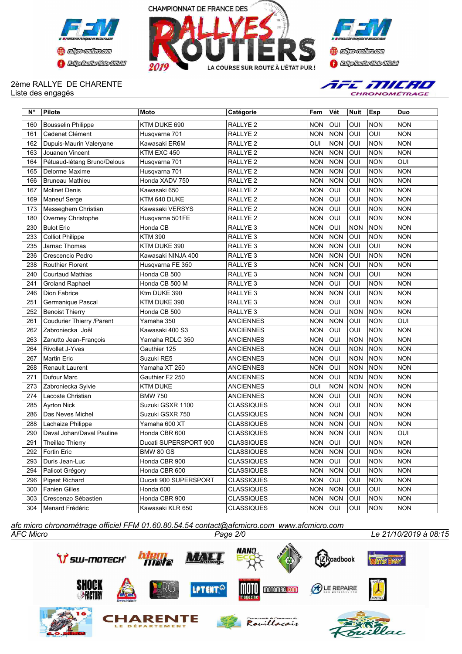





## 2ème RALLYE DE CHARENTE Liste des engagés



| N°  | <b>Pilote</b>               | Moto                  | Catégorie           | Fem        | Vét        | <b>Nuit</b> | Esp        | Duo        |
|-----|-----------------------------|-----------------------|---------------------|------------|------------|-------------|------------|------------|
| 160 | <b>Bousselin Philippe</b>   | KTM DUKE 690          | RALLYE <sub>2</sub> | <b>NON</b> | OUI        | OUI         | <b>NON</b> | <b>NON</b> |
| 161 | Cadenet Clément             | Husqvarna 701         | RALLYE 2            | <b>NON</b> | <b>NON</b> | OUI         | OUI        | <b>NON</b> |
| 162 | Dupuis-Maurin Valeryane     | Kawasaki ER6M         | RALLYE 2            | OUI        | <b>NON</b> | OUI         | <b>NON</b> | <b>NON</b> |
| 163 | Jouanen Vincent             | KTM EXC 450           | RALLYE <sub>2</sub> | <b>NON</b> | <b>NON</b> | OUI         | <b>NON</b> | <b>NON</b> |
| 164 | Pétuaud-létang Bruno/Delous | Husqvarna 701         | RALLYE 2            | <b>NON</b> | <b>NON</b> | OUI         | <b>NON</b> | <b>OUI</b> |
| 165 | Delorme Maxime              | Husqvarna 701         | RALLYE <sub>2</sub> | <b>NON</b> | <b>NON</b> | OUI         | <b>NON</b> | <b>NON</b> |
| 166 | Bruneau Mathieu             | Honda XADV 750        | RALLYE 2            | <b>NON</b> | <b>NON</b> | OUI         | <b>NON</b> | <b>NON</b> |
| 167 | <b>Molinet Denis</b>        | Kawasaki 650          | RALLYE <sub>2</sub> | <b>NON</b> | OUI        | OUI         | <b>NON</b> | <b>NON</b> |
| 169 | <b>Maneuf Serge</b>         | KTM 640 DUKE          | RALLYE <sub>2</sub> | <b>NON</b> | OUI        | OUI         | <b>NON</b> | <b>NON</b> |
| 173 | Messeghem Christian         | Kawasaki VERSYS       | RALLYE <sub>2</sub> | <b>NON</b> | OUI        | OUI         | <b>NON</b> | <b>NON</b> |
| 180 | Overney Christophe          | Husgvarna 501FE       | RALLYE <sub>2</sub> | <b>NON</b> | OUI        | OUI         | <b>NON</b> | <b>NON</b> |
| 230 | <b>Bulot Eric</b>           | Honda CB              | RALLYE 3            | <b>NON</b> | OUI        | <b>NON</b>  | <b>NON</b> | <b>NON</b> |
| 233 | <b>Colliot Philippe</b>     | KTM 390               | RALLYE 3            | <b>NON</b> | <b>NON</b> | OUI         | <b>NON</b> | <b>NON</b> |
| 235 | Jarnac Thomas               | KTM DUKE 390          | RALLYE 3            | <b>NON</b> | <b>NON</b> | OUI         | OUI        | <b>NON</b> |
| 236 | Crescencio Pedro            | Kawasaki NINJA 400    | RALLYE <sub>3</sub> | <b>NON</b> | <b>NON</b> | OUI         | <b>NON</b> | <b>NON</b> |
| 238 | Routhier Florent            | Husqvarna FE 350      | RALLYE <sub>3</sub> | <b>NON</b> | <b>NON</b> | OUI         | <b>NON</b> | <b>NON</b> |
| 240 | <b>Courtaud Mathias</b>     | Honda CB 500          | RALLYE <sub>3</sub> | <b>NON</b> | <b>NON</b> | OUI         | OUI        | <b>NON</b> |
| 241 | <b>Groland Raphael</b>      | Honda CB 500 M        | RALLYE <sub>3</sub> | <b>NON</b> | OUI        | OUI         | <b>NON</b> | <b>NON</b> |
| 246 | Dion Fabrice                | Ktm DUKE 390          | RALLYE <sub>3</sub> | <b>NON</b> | <b>NON</b> | OUI         | <b>NON</b> | <b>NON</b> |
| 251 | Germanique Pascal           | KTM DUKE 390          | RALLYE <sub>3</sub> | <b>NON</b> | OUI        | OUI         | <b>NON</b> | <b>NON</b> |
| 252 | <b>Benoist Thierry</b>      | Honda CB 500          | RALLYE <sub>3</sub> | <b>NON</b> | OUI        | <b>NON</b>  | <b>NON</b> | <b>NON</b> |
| 261 | Coudurier Thierry /Parent   | Yamaha 350            | <b>ANCIENNES</b>    | <b>NON</b> | <b>NON</b> | OUI         | <b>NON</b> | OUI        |
| 262 | Zabroniecka Joël            | Kawasaki 400 S3       | <b>ANCIENNES</b>    | <b>NON</b> | OUI        | OUI         | <b>NON</b> | <b>NON</b> |
| 263 | Zanutto Jean-François       | Yamaha RDLC 350       | <b>ANCIENNES</b>    | <b>NON</b> | OUI        | <b>NON</b>  | <b>NON</b> | <b>NON</b> |
| 264 | <b>Rivollet J-Yves</b>      | Gauthier 125          | <b>ANCIENNES</b>    | <b>NON</b> | OUI        | <b>NON</b>  | <b>NON</b> | <b>NON</b> |
| 267 | <b>Martin Eric</b>          | Suzuki RE5            | <b>ANCIENNES</b>    | <b>NON</b> | OUI        | <b>NON</b>  | <b>NON</b> | <b>NON</b> |
| 268 | Renault Laurent             | Yamaha XT 250         | <b>ANCIENNES</b>    | <b>NON</b> | OUI        | <b>NON</b>  | <b>NON</b> | <b>NON</b> |
| 271 | Dufour Marc                 | Gauthier F2 250       | <b>ANCIENNES</b>    | <b>NON</b> | OUI        | <b>NON</b>  | <b>NON</b> | <b>NON</b> |
| 273 | Zabroniecka Sylvie          | <b>KTM DUKE</b>       | <b>ANCIENNES</b>    | OUI        | <b>NON</b> | <b>NON</b>  | <b>NON</b> | <b>NON</b> |
| 274 | Lacoste Christian           | <b>BMW 750</b>        | <b>ANCIENNES</b>    | <b>NON</b> | OUI        | OUI         | <b>NON</b> | <b>NON</b> |
| 285 | <b>Ayrton Nick</b>          | Suzuki GSXR 1100      | <b>CLASSIQUES</b>   | <b>NON</b> | OUI        | OUI         | <b>NON</b> | <b>NON</b> |
| 286 | Das Neves Michel            | Suzuki GSXR 750       | <b>CLASSIQUES</b>   | <b>NON</b> | <b>NON</b> | OUI         | <b>NON</b> | <b>NON</b> |
| 288 | Lachaize Philippe           | Yamaha 600 XT         | <b>CLASSIQUES</b>   | <b>NON</b> | <b>NON</b> | OUI         | <b>NON</b> | <b>NON</b> |
| 290 | Daval Johan/Daval Pauline   | Honda CBR 600         | <b>CLASSIQUES</b>   | <b>NON</b> | <b>NON</b> | OUI         | <b>NON</b> | OUI        |
| 291 | Theillac Thierry            | Ducati SUPERSPORT 900 | <b>CLASSIQUES</b>   | <b>NON</b> | OUI        | OUI         | <b>NON</b> | <b>NON</b> |
| 292 | Fortin Eric                 | <b>BMW 80 GS</b>      | <b>CLASSIQUES</b>   | <b>NON</b> | NON        | OUI         | <b>NON</b> | <b>NON</b> |
| 293 | Duris Jean-Luc              | Honda CBR 900         | <b>CLASSIQUES</b>   | <b>NON</b> | <b>OUI</b> | OUI         | NON        | <b>NON</b> |
| 294 | Palicot Grégory             | Honda CBR 600         | <b>CLASSIQUES</b>   | <b>NON</b> | <b>NON</b> | OUI         | <b>NON</b> | <b>NON</b> |
| 296 | Pigeat Richard              | Ducati 900 SUPERSPORT | <b>CLASSIQUES</b>   | <b>NON</b> | OUI        | OUI         | <b>NON</b> | <b>NON</b> |
| 300 | Fanien Gilles               | Honda 600             | <b>CLASSIQUES</b>   | <b>NON</b> | <b>NON</b> | OUI         | OUI        | <b>NON</b> |
| 303 | Crescenzo Sébastien         | Honda CBR 900         | <b>CLASSIQUES</b>   | <b>NON</b> | <b>NON</b> | OUI         | <b>NON</b> | <b>NON</b> |
| 304 | Menard Frédéric             | Kawasaki KLR 650      | <b>CLASSIQUES</b>   | NON OUI    |            | OUI         | <b>NON</b> | <b>NON</b> |

*AFC Micro Page 2/0 Le 21/10/2019 à 08:15 afc micro chronométrage officiel FFM 01.60.80.54.54 contact@afcmicro.com www.afcmicro.com*



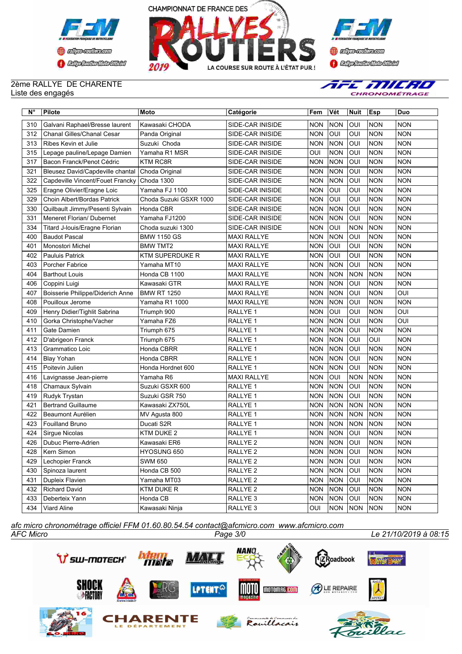





## 2ème RALLYE DE CHARENTE Liste des engagés



| N°  | Pilote                           | <b>Moto</b>            | Catégorie           | Fem        | Vét        | <b>Nuit</b> | Esp        | Duo        |
|-----|----------------------------------|------------------------|---------------------|------------|------------|-------------|------------|------------|
| 310 | Galvani Raphael/Bresse laurent   | Kawasaki CHODA         | SIDE-CAR INISIDE    | <b>NON</b> | <b>NON</b> | OUI         | <b>NON</b> | <b>NON</b> |
| 312 | Chanal Gilles/Chanal Cesar       | Panda Original         | SIDE-CAR INISIDE    | <b>NON</b> | OUI        | OUI         | NON        | <b>NON</b> |
| 313 | Ribes Kevin et Julie             | Suzuki Choda           | SIDE-CAR INISIDE    | <b>NON</b> | <b>NON</b> | OUI         | <b>NON</b> | <b>NON</b> |
| 315 | Lepage pauline/Lepage Damien     | Yamaha R1 MSR          | SIDE-CAR INISIDE    | OUI        | <b>NON</b> | OUI         | <b>NON</b> | <b>NON</b> |
| 317 | Bacon Franck/Penot Cédric        | <b>KTM RC8R</b>        | SIDE-CAR INISIDE    | <b>NON</b> | <b>NON</b> | OUI         | <b>NON</b> | <b>NON</b> |
| 321 | Bleusez David/Capdeville chantal | Choda Original         | SIDE-CAR INISIDE    | <b>NON</b> | <b>NON</b> | OUI         | <b>NON</b> | <b>NON</b> |
| 322 | Capdeville Vincent/Fouet Francky | Choda 1300             | SIDE-CAR INISIDE    | <b>NON</b> | <b>NON</b> | OUI         | <b>NON</b> | <b>NON</b> |
| 325 | Eragne Olivier/Eragne Loic       | Yamaha FJ 1100         | SIDE-CAR INISIDE    | <b>NON</b> | OUI        | OUI         | <b>NON</b> | <b>NON</b> |
| 329 | Choin Albert/Bordas Patrick      | Choda Suzuki GSXR 1000 | SIDE-CAR INISIDE    | <b>NON</b> | OUI        | OUI         | <b>NON</b> | <b>NON</b> |
| 330 | Quilbault Jimmy/Pesenti Sylvain  | Honda CBR              | SIDE-CAR INISIDE    | <b>NON</b> | <b>NON</b> | OUI         | <b>NON</b> | <b>NON</b> |
| 331 | Meneret Florian/ Dubernet        | Yamaha FJ1200          | SIDE-CAR INISIDE    | <b>NON</b> | <b>NON</b> | OUI         | <b>NON</b> | <b>NON</b> |
| 334 | Titard J-louis/Eragne Florian    | Choda suzuki 1300      | SIDE-CAR INISIDE    | <b>NON</b> | OUI        | <b>NON</b>  | <b>NON</b> | <b>NON</b> |
| 400 | <b>Baudot Pascal</b>             | <b>BMW 1150 GS</b>     | <b>MAXI RALLYE</b>  | <b>NON</b> | <b>NON</b> | OUI         | <b>NON</b> | <b>NON</b> |
| 401 | Monostori Michel                 | <b>BMW TMT2</b>        | <b>MAXI RALLYE</b>  | <b>NON</b> | OUI        | OUI         | <b>NON</b> | <b>NON</b> |
| 402 | <b>Pauluis Patrick</b>           | <b>KTM SUPERDUKE R</b> | <b>MAXI RALLYE</b>  | <b>NON</b> | OUI        | OUI         | <b>NON</b> | <b>NON</b> |
| 403 | Porcher Fabrice                  | Yamaha MT10            | <b>MAXI RALLYE</b>  | <b>NON</b> | <b>NON</b> | OUI         | <b>NON</b> | <b>NON</b> |
| 404 | <b>Barthout Louis</b>            | Honda CB 1100          | <b>MAXI RALLYE</b>  | <b>NON</b> | <b>NON</b> | <b>NON</b>  | <b>NON</b> | <b>NON</b> |
| 406 | Coppini Luigi                    | Kawasaki GTR           | <b>MAXI RALLYE</b>  | <b>NON</b> | <b>NON</b> | OUI         | <b>NON</b> | <b>NON</b> |
| 407 | Boisserie Philippe/Diderich Anne | <b>BMW RT 1250</b>     | <b>MAXI RALLYE</b>  | <b>NON</b> | <b>NON</b> | OUI         | <b>NON</b> | OUI        |
| 408 | Pouilloux Jerome                 | Yamaha R1 1000         | <b>MAXI RALLYE</b>  | <b>NON</b> | <b>NON</b> | OUI         | <b>NON</b> | <b>NON</b> |
| 409 | Henry Didier/Tighlit Sabrina     | Triumph 900            | RALLYE 1            | <b>NON</b> | OUI        | OUI         | <b>NON</b> | OUI        |
| 410 | Gorka Christophe/Vacher          | Yamaha FZ6             | RALLYE 1            | <b>NON</b> | <b>NON</b> | OUI         | <b>NON</b> | OUI        |
| 411 | Gate Damien                      | Triumph 675            | RALLYE 1            | <b>NON</b> | <b>NON</b> | OUI         | <b>NON</b> | <b>NON</b> |
| 412 | D'abrigeon Franck                | Triumph 675            | RALLYE 1            | <b>NON</b> | <b>NON</b> | OUI         | OUI        | <b>NON</b> |
| 413 | Grammatico Loic                  | Honda CBRR             | RALLYE 1            | <b>NON</b> | <b>NON</b> | OUI         | <b>NON</b> | <b>NON</b> |
| 414 | <b>Blay Yohan</b>                | Honda CBRR             | RALLYE 1            | <b>NON</b> | <b>NON</b> | OUI         | <b>NON</b> | <b>NON</b> |
| 415 | Poitevin Julien                  | Honda Hordnet 600      | RALLYE 1            | <b>NON</b> | <b>NON</b> | OUI         | <b>NON</b> | <b>NON</b> |
| 416 | Lavignasse Jean-pierre           | Yamaha R6              | <b>MAXI RALLYE</b>  | <b>NON</b> | OUI        | <b>NON</b>  | <b>NON</b> | <b>NON</b> |
| 418 | Chamaux Sylvain                  | Suzuki GSXR 600        | RALLYE 1            | <b>NON</b> | <b>NON</b> | OUI         | <b>NON</b> | <b>NON</b> |
| 419 | Rudyk Trystan                    | Suzuki GSR 750         | RALLYE 1            | <b>NON</b> | <b>NON</b> | OUI         | <b>NON</b> | <b>NON</b> |
| 421 | <b>Bertrand Guillaume</b>        | Kawasaki ZX750L        | RALLYE 1            | <b>NON</b> | <b>NON</b> | <b>NON</b>  | <b>NON</b> | <b>NON</b> |
| 422 | Beaumont Aurélien                | MV Agusta 800          | RALLYE 1            | <b>NON</b> | <b>NON</b> | <b>NON</b>  | <b>NON</b> | <b>NON</b> |
| 423 | <b>Fouilland Bruno</b>           | Ducati S2R             | RALLYE 1            | <b>NON</b> | <b>NON</b> | <b>NON</b>  | <b>NON</b> | <b>NON</b> |
| 424 | Sirgue Nicolas                   | KTM DUKE 2             | RALLYE 1            | <b>NON</b> | <b>NON</b> | OUI         | <b>NON</b> | <b>NON</b> |
| 426 | Dubuc Pierre-Adrien              | Kawasaki ER6           | RALLYE <sub>2</sub> | <b>NON</b> | <b>NON</b> | <b>OUI</b>  | NON        | <b>NON</b> |
| 428 | Kern Simon                       | HYOSUNG 650            | RALLYE <sub>2</sub> |            | NON NON    | lour        | <b>NON</b> | <b>NON</b> |
| 429 | Lechopier Franck                 | SWM 650                | RALLYE <sub>2</sub> | <b>NON</b> | <b>NON</b> | OUI         | NON        | <b>NON</b> |
| 430 | Spinoza laurent                  | Honda CB 500           | RALLYE <sub>2</sub> | <b>NON</b> | <b>NON</b> | OUI         | <b>NON</b> | <b>NON</b> |
| 431 | Dupleix Flavien                  | Yamaha MT03            | RALLYE <sub>2</sub> | <b>NON</b> | <b>NON</b> | OUI         | <b>NON</b> | <b>NON</b> |
| 432 | <b>Richard David</b>             | <b>KTM DUKE R</b>      | RALLYE <sub>2</sub> | <b>NON</b> | <b>NON</b> | OUI         | <b>NON</b> | <b>NON</b> |
| 433 | Deberteix Yann                   | Honda CB               | RALLYE 3            | <b>NON</b> | <b>NON</b> | OUI         | <b>NON</b> | <b>NON</b> |
| 434 | Viard Aline                      | Kawasaki Ninja         | RALLYE 3            | OUI        | NON NON    |             | <b>NON</b> | <b>NON</b> |

*AFC Micro Page 3/0 Le 21/10/2019 à 08:15 afc micro chronométrage officiel FFM 01.60.80.54.54 contact@afcmicro.com www.afcmicro.com*